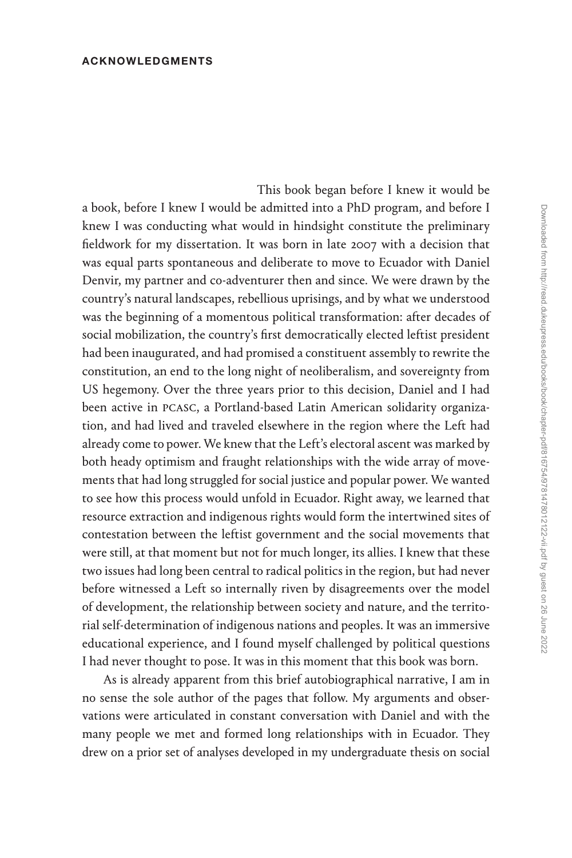This book began before I knew it would be a book, before I knew I would be admitted into a PhD program, and before I knew I was conducting what would in hindsight constitute the preliminary fieldwork for my dissertation. It was born in late 2007 with a decision that was equal parts spontaneous and deliberate to move to Ecuador with Daniel Denvir, my partner and co-adventurer then and since. We were drawn by the country's natural landscapes, rebellious uprisings, and by what we understood was the beginning of a momentous political transformation: after decades of social mobilization, the country's first democratically elected leftist president had been inaugurated, and had promised a constituent assembly to rewrite the constitution, an end to the long night of neoliberalism, and sovereignty from US hegemony. Over the three years prior to this decision, Daniel and I had been active in pcasc, a Portland-based Latin American solidarity organization, and had lived and traveled elsewhere in the region where the Left had already come to power. We knew that the Left's electoral ascent was marked by both heady optimism and fraught relationships with the wide array of movements that had long struggled for social justice and popular power. We wanted to see how this process would unfold in Ecuador. Right away, we learned that resource extraction and indigenous rights would form the intertwined sites of contestation between the leftist government and the social movements that were still, at that moment but not for much longer, its allies. I knew that these two issues had long been central to radical politics in the region, but had never before witnessed a Left so internally riven by disagreements over the model of development, the relationship between society and nature, and the territorial self-determination of indigenous nations and peoples. It was an immersive educational experience, and I found myself challenged by political questions I had never thought to pose. It was in this moment that this book was born.

As is already apparent from this brief autobiographical narrative, I am in no sense the sole author of the pages that follow. My arguments and observations were articulated in constant conversation with Daniel and with the many people we met and formed long relationships with in Ecuador. They drew on a prior set of analyses developed in my undergraduate thesis on social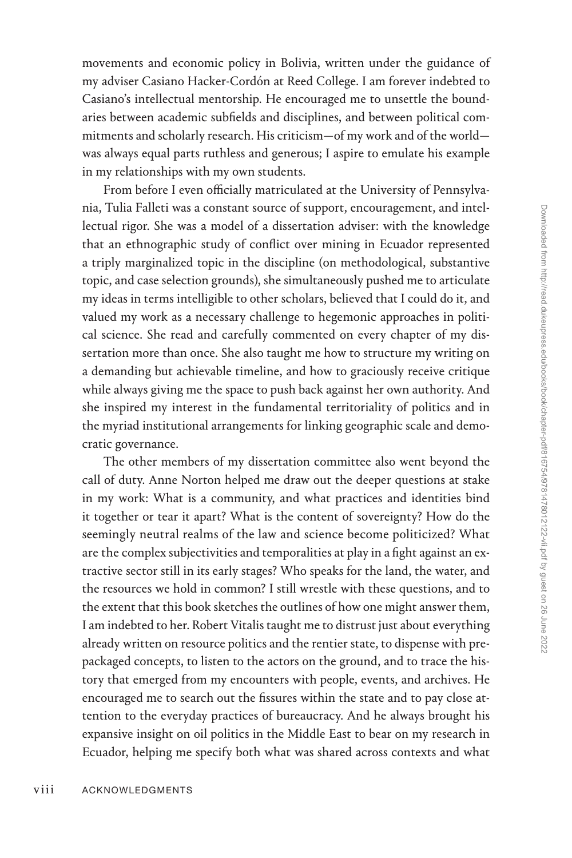movements and economic policy in Bolivia, written under the guidance of my adviser Casiano Hacker-Cordón at Reed College. I am forever indebted to Casiano's intellectual mentorship. He encouraged me to unsettle the boundaries between academic subfields and disciplines, and between political commitments and scholarly research. His criticism—of my work and of the world was always equal parts ruthless and generous; I aspire to emulate his example in my relationships with my own students.

From before I even officially matriculated at the University of Pennsylvania, Tulia Falleti was a constant source of support, encouragement, and intellectual rigor. She was a model of a dissertation adviser: with the knowledge that an ethnographic study of conflict over mining in Ecuador represented a triply marginalized topic in the discipline (on methodological, substantive topic, and case selection grounds), she simultaneously pushed me to articulate my ideas in terms intelligible to other scholars, believed that I could do it, and valued my work as a necessary challenge to hegemonic approaches in political science. She read and carefully commented on every chapter of my dissertation more than once. She also taught me how to structure my writing on a demanding but achievable timeline, and how to graciously receive critique while always giving me the space to push back against her own authority. And she inspired my interest in the fundamental territoriality of politics and in the myriad institutional arrangements for linking geographic scale and democratic governance.

The other members of my dissertation committee also went beyond the call of duty. Anne Norton helped me draw out the deeper questions at stake in my work: What is a community, and what practices and identities bind it together or tear it apart? What is the content of sovereignty? How do the seemingly neutral realms of the law and science become politicized? What are the complex subjectivities and temporalities at play in a fight against an extractive sector still in its early stages? Who speaks for the land, the water, and the resources we hold in common? I still wrestle with these questions, and to the extent that this book sketches the outlines of how one might answer them, I am indebted to her. Robert Vitalis taught me to distrust just about everything already written on resource politics and the rentier state, to dispense with prepackaged concepts, to listen to the actors on the ground, and to trace the history that emerged from my encounters with people, events, and archives. He encouraged me to search out the fissures within the state and to pay close attention to the everyday practices of bureaucracy. And he always brought his expansive insight on oil politics in the Middle East to bear on my research in Ecuador, helping me specify both what was shared across contexts and what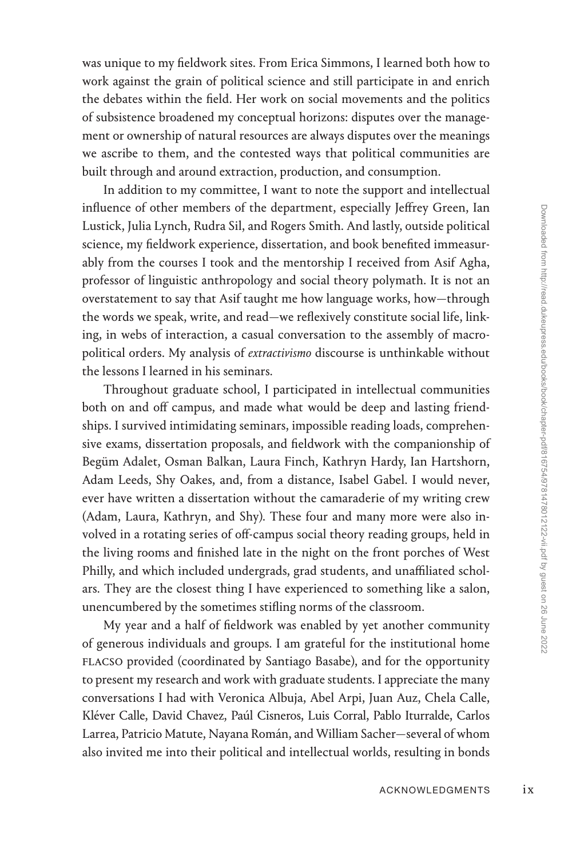was unique to my fieldwork sites. From Erica Simmons, I learned both how to work against the grain of political science and still participate in and enrich the debates within the field. Her work on social movements and the politics of subsistence broadened my conceptual horizons: disputes over the management or ownership of natural resources are always disputes over the meanings we ascribe to them, and the contested ways that political communities are built through and around extraction, production, and consumption.

In addition to my committee, I want to note the support and intellectual influence of other members of the department, especially Jeffrey Green, Ian Lustick, Julia Lynch, Rudra Sil, and Rogers Smith. And lastly, outside political science, my fieldwork experience, dissertation, and book benefited immeasurably from the courses I took and the mentorship I received from Asif Agha, professor of linguistic anthropology and social theory polymath. It is not an overstatement to say that Asif taught me how language works, how—through the words we speak, write, and read—we reflexively constitute social life, linking, in webs of interaction, a casual conversation to the assembly of macropolitical orders. My analysis of *extractivismo* discourse is unthinkable without the lessons I learned in his seminars.

Throughout graduate school, I participated in intellectual communities both on and off campus, and made what would be deep and lasting friendships. I survived intimidating seminars, impossible reading loads, comprehensive exams, dissertation proposals, and fieldwork with the companionship of Begüm Adalet, Osman Balkan, Laura Finch, Kathryn Hardy, Ian Hartshorn, Adam Leeds, Shy Oakes, and, from a distance, Isabel Gabel. I would never, ever have written a dissertation without the camaraderie of my writing crew (Adam, Laura, Kathryn, and Shy). These four and many more were also involved in a rotating series of off-campus social theory reading groups, held in the living rooms and finished late in the night on the front porches of West Philly, and which included undergrads, grad students, and unaffiliated scholars. They are the closest thing I have experienced to something like a salon, unencumbered by the sometimes stifling norms of the classroom.

My year and a half of fieldwork was enabled by yet another community of generous individuals and groups. I am grateful for the institutional home flacso provided (coordinated by Santiago Basabe), and for the opportunity to present my research and work with graduate students. I appreciate the many conversations I had with Veronica Albuja, Abel Arpi, Juan Auz, Chela Calle, Kléver Calle, David Chavez, Paúl Cisneros, Luis Corral, Pablo Iturralde, Carlos Larrea, Patricio Matute, Nayana Román, and William Sacher—several of whom also invited me into their political and intellectual worlds, resulting in bonds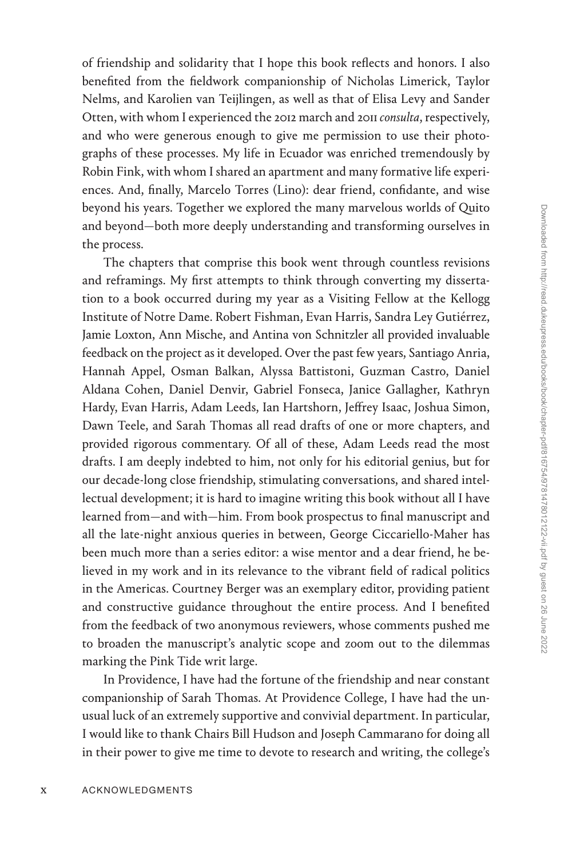of friendship and solidarity that I hope this book reflects and honors. I also benefited from the fieldwork companionship of Nicholas Limerick, Taylor Nelms, and Karolien van Teijlingen, as well as that of Elisa Levy and Sander Otten, with whom I experienced the 2012 march and 2011 *consulta*, respectively, and who were generous enough to give me permission to use their photographs of these processes. My life in Ecuador was enriched tremendously by Robin Fink, with whom I shared an apartment and many formative life experiences. And, finally, Marcelo Torres (Lino): dear friend, confidante, and wise beyond his years. Together we explored the many marvelous worlds of Quito and beyond—both more deeply understanding and transforming ourselves in the process.

The chapters that comprise this book went through countless revisions and reframings. My first attempts to think through converting my dissertation to a book occurred during my year as a Visiting Fellow at the Kellogg Institute of Notre Dame. Robert Fishman, Evan Harris, Sandra Ley Gutiérrez, Jamie Loxton, Ann Mische, and Antina von Schnitzler all provided invaluable feedback on the project as it developed. Over the past few years, Santiago Anria, Hannah Appel, Osman Balkan, Alyssa Battistoni, Guzman Castro, Daniel Aldana Cohen, Daniel Denvir, Gabriel Fonseca, Janice Gallagher, Kathryn Hardy, Evan Harris, Adam Leeds, Ian Hartshorn, Jeffrey Isaac, Joshua Simon, Dawn Teele, and Sarah Thomas all read drafts of one or more chapters, and provided rigorous commentary. Of all of these, Adam Leeds read the most drafts. I am deeply indebted to him, not only for his editorial genius, but for our decade-long close friendship, stimulating conversations, and shared intellectual development; it is hard to imagine writing this book without all I have learned from—and with—him. From book prospectus to final manuscript and all the late-night anxious queries in between, George Ciccariello-Maher has been much more than a series editor: a wise mentor and a dear friend, he believed in my work and in its relevance to the vibrant field of radical politics in the Americas. Courtney Berger was an exemplary editor, providing patient and constructive guidance throughout the entire process. And I benefited from the feedback of two anonymous reviewers, whose comments pushed me to broaden the manuscript's analytic scope and zoom out to the dilemmas marking the Pink Tide writ large.

In Providence, I have had the fortune of the friendship and near constant companionship of Sarah Thomas. At Providence College, I have had the unusual luck of an extremely supportive and convivial department. In particular, I would like to thank Chairs Bill Hudson and Joseph Cammarano for doing all in their power to give me time to devote to research and writing, the college's